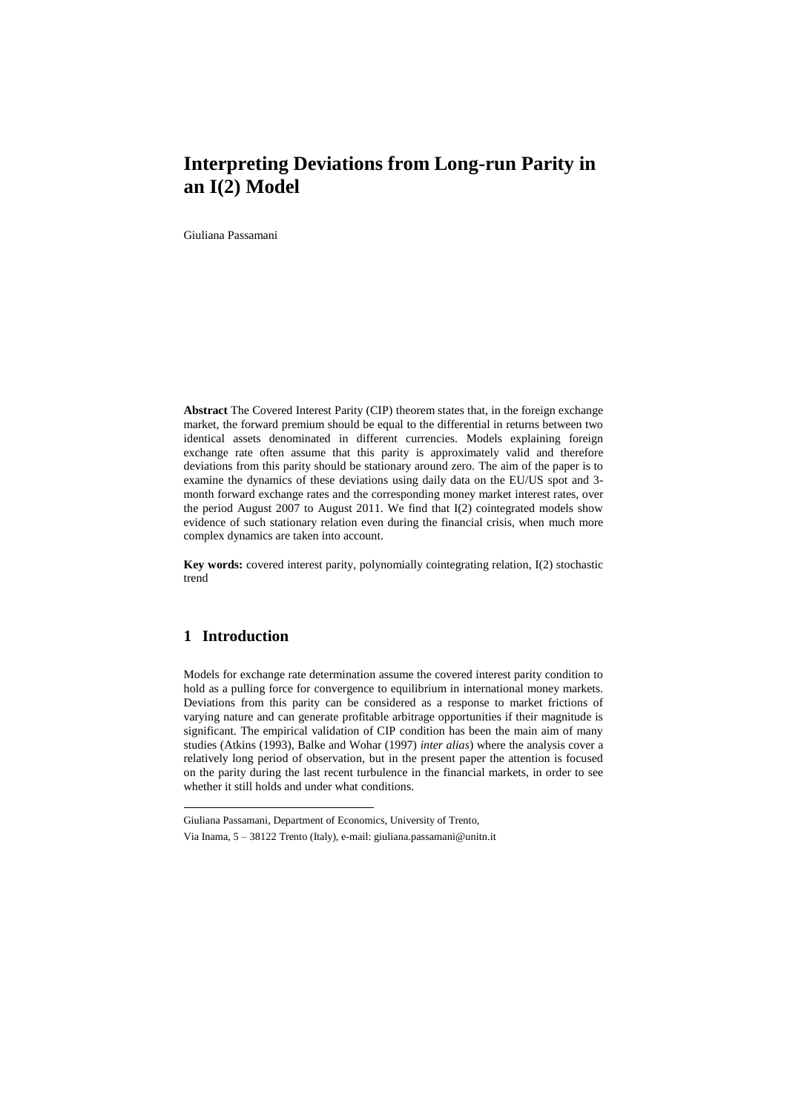# **Interpreting Deviations from Long-run Parity in an I(2) Model**

Giuliana Passamani

**Abstract** The Covered Interest Parity (CIP) theorem states that, in the foreign exchange market, the forward premium should be equal to the differential in returns between two identical assets denominated in different currencies. Models explaining foreign exchange rate often assume that this parity is approximately valid and therefore deviations from this parity should be stationary around zero. The aim of the paper is to examine the dynamics of these deviations using daily data on the EU/US spot and 3 month forward exchange rates and the corresponding money market interest rates, over the period August 2007 to August 2011. We find that I(2) cointegrated models show evidence of such stationary relation even during the financial crisis, when much more complex dynamics are taken into account.

**Key words:** covered interest parity, polynomially cointegrating relation, I(2) stochastic trend

## **1 Introduction**

l

Models for exchange rate determination assume the covered interest parity condition to hold as a pulling force for convergence to equilibrium in international money markets. Deviations from this parity can be considered as a response to market frictions of varying nature and can generate profitable arbitrage opportunities if their magnitude is significant. The empirical validation of CIP condition has been the main aim of many studies (Atkins (1993), Balke and Wohar (1997) *inter alias*) where the analysis cover a relatively long period of observation, but in the present paper the attention is focused on the parity during the last recent turbulence in the financial markets, in order to see whether it still holds and under what conditions.

Giuliana Passamani, Department of Economics, University of Trento,

Via Inama, 5 – 38122 Trento (Italy), e-mail: giuliana.passamani@unitn.it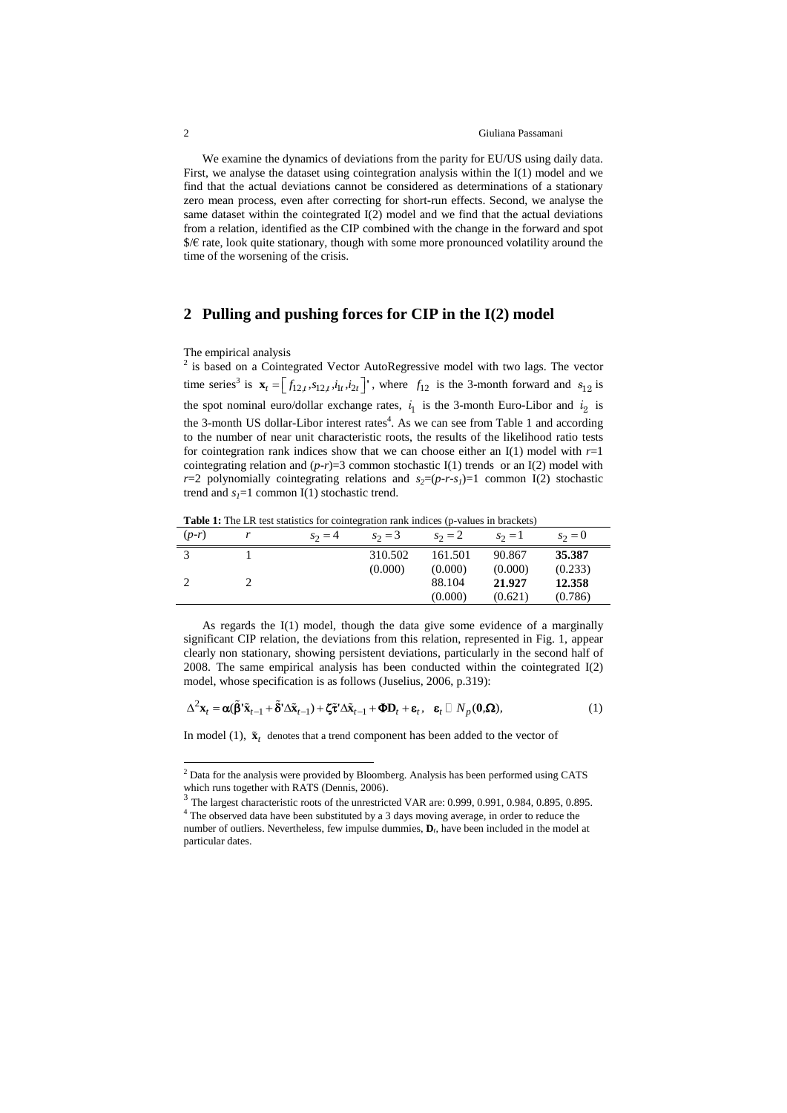We examine the dynamics of deviations from the parity for EU/US using daily data. First, we analyse the dataset using cointegration analysis within the I(1) model and we find that the actual deviations cannot be considered as determinations of a stationary zero mean process, even after correcting for short-run effects. Second, we analyse the same dataset within the cointegrated I(2) model and we find that the actual deviations from a relation, identified as the CIP combined with the change in the forward and spot \$/€ rate, look quite stationary, though with some more pronounced volatility around the time of the worsening of the crisis.

### **2 Pulling and pushing forces for CIP in the I(2) model**

The empirical analysis

 $2$  is based on a Cointegrated Vector AutoRegressive model with two lags. The vector time series<sup>3</sup> is  $\mathbf{x}_t = \begin{bmatrix} f_{12,t}, s_{12,t}, i_t, i_{2t} \end{bmatrix}$ , where  $f_{12}$  is the 3-month forward and  $s_{12}$  is the spot nominal euro/dollar exchange rates,  $i_1$  is the 3-month Euro-Libor and  $i_2$  is the 3-month US dollar-Libor interest rates<sup>4</sup>. As we can see from Table 1 and according to the number of near unit characteristic roots, the results of the likelihood ratio tests for cointegration rank indices show that we can choose either an  $I(1)$  model with  $r=1$ cointegrating relation and (*p*-*r*)=3 common stochastic I(1) trends or an I(2) model with *r*=2 polynomially cointegrating relations and  $s_2=(p-r-s_1)=1$  common I(2) stochastic trend and  $s<sub>l</sub>=1$  common I(1) stochastic trend.

**Table 1:** The LR test statistics for cointegration rank indices (p-values in brackets)

| $(p-r)$ | $s_2 = 4$ | $s_2 = 3$ | $s_2 = 2$ | $s_2=1$ | $s_2=0$ |
|---------|-----------|-----------|-----------|---------|---------|
| 3       |           | 310.502   | 161.501   | 90.867  | 35.387  |
|         |           | (0.000)   | (0.000)   | (0.000) | (0.233) |
|         |           |           | 88.104    | 21.927  | 12.358  |
|         |           |           | (0.000)   | (0.621) | (0.786) |

As regards the I(1) model, though the data give some evidence of a marginally significant CIP relation, the deviations from this relation, represented in Fig. 1, appear clearly non stationary, showing persistent deviations, particularly in the second half of 2008. The same empirical analysis has been conducted within the cointegrated I(2)

model, whose specification is as follows (Juselius, 2006, p.319):  
\n
$$
\Delta^2 \mathbf{x}_t = \alpha (\tilde{\beta}^{\dagger} \tilde{\mathbf{x}}_{t-1} + \tilde{\delta}^{\dagger} \Delta \tilde{\mathbf{x}}_{t-1}) + \zeta \tilde{\mathbf{t}}^{\dagger} \Delta \tilde{\mathbf{x}}_{t-1} + \Phi \mathbf{D}_t + \mathbf{\varepsilon}_t, \quad \mathbf{\varepsilon}_t \square N_p(\mathbf{0}, \mathbf{\Omega}),
$$
\n(1)

In model (1),  $\tilde{\mathbf{x}}_t$  denotes that a trend component has been added to the vector of

 $\overline{a}$ 

 $2$  Data for the analysis were provided by Bloomberg. Analysis has been performed using CATS which runs together with RATS (Dennis, 2006).

 $3$  The largest characteristic roots of the unrestricted VAR are: 0.999, 0.991, 0.984, 0.895, 0.895.

<sup>&</sup>lt;sup>4</sup> The observed data have been substituted by a 3 days moving average, in order to reduce the number of outliers. Nevertheless, few impulse dummies, **D***t*, have been included in the model at particular dates.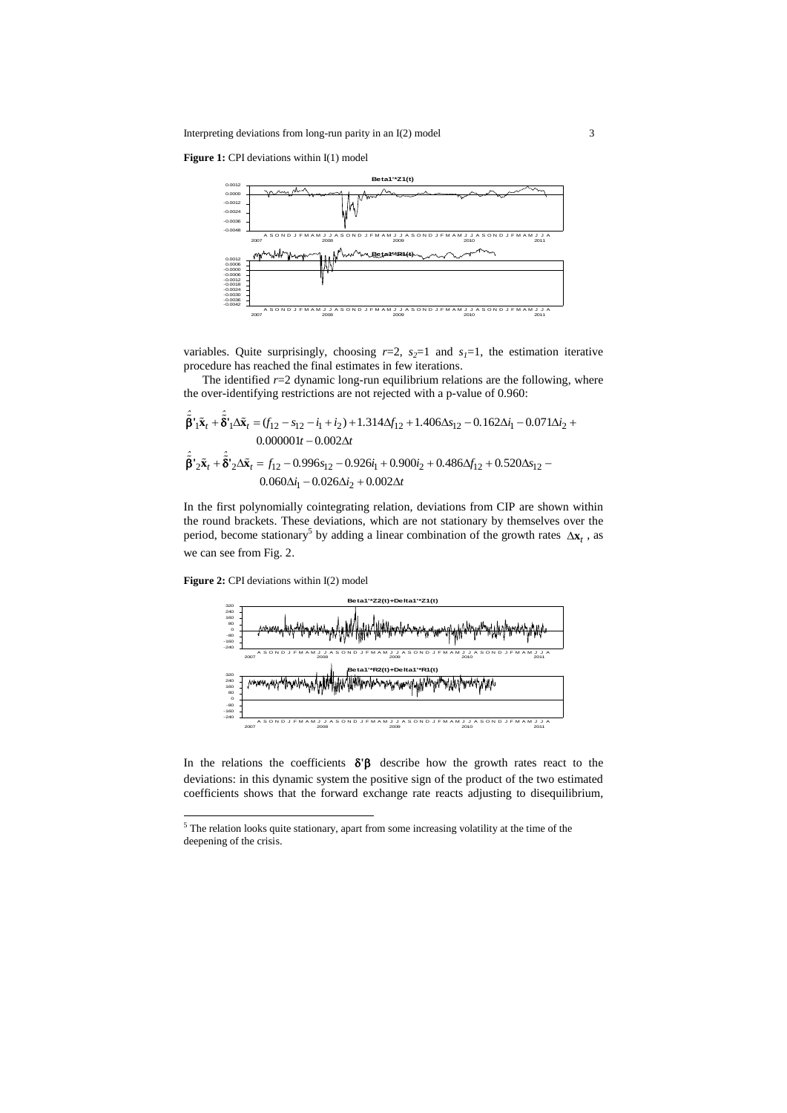Figure 1: CPI deviations within I(1) model



variables. Quite surprisingly, choosing  $r=2$ ,  $s<sub>2</sub>=1$  and  $s<sub>1</sub>=1$ , the estimation iterative procedure has reached the final estimates in few iterations.

The identified  $r=2$  dynamic long-run equilibrium relations are the following, where The identified r=2 dynamic long-run equilibrium relations are the following, where<br>the over-identifying restrictions are not rejected with a p-value of 0.960:<br> $\hat{\beta}'_1 \tilde{x}_t + \hat{\delta}'_1 \Delta \tilde{x}_t = (f_{12} - s_{12} - i_1 + i_2) + 1.314 \Delta f$ 

$$
\hat{\hat{\beta}}^{\dagger}{}_{1}\tilde{\mathbf{x}}_{t} + \hat{\hat{\delta}}^{\dagger}{}_{1}\Delta\tilde{\mathbf{x}}_{t} = (f_{12} - s_{12} - i_{1} + i_{2}) + 1.314\Delta f_{12} + 1.406\Delta s_{12} - 0.162\Delta i_{1} - 0.071\Delta i_{2} + 0.000001t - 0.002\Delta t
$$
  

$$
\hat{\beta}^{\dagger}{}_{2}\tilde{\mathbf{x}}_{t} + \hat{\delta}^{\dagger}{}_{2}\Delta\tilde{\mathbf{x}}_{t} = f_{12} - 0.996s_{12} - 0.926i_{1} + 0.900i_{2} + 0.486\Delta f_{12} + 0.520\Delta s_{12} - 0.060\Delta i_{1} - 0.026\Delta i_{2} + 0.002\Delta t
$$

In the first polynomially cointegrating relation, deviations from CIP are shown within the round brackets. These deviations, which are not stationary by themselves over the period, become stationary<sup>5</sup> by adding a linear combination of the growth rates  $\Delta x_t$ , as we can see from Fig. 2.

Figure 2: CPI deviations within I(2) model

l



In the relations the coefficients  $\delta' \beta$  describe how the growth rates react to the deviations: in this dynamic system the positive sign of the product of the two estimated coefficients shows that the forward exchange rate reacts adjusting to disequilibrium,

<sup>&</sup>lt;sup>5</sup> The relation looks quite stationary, apart from some increasing volatility at the time of the deepening of the crisis.